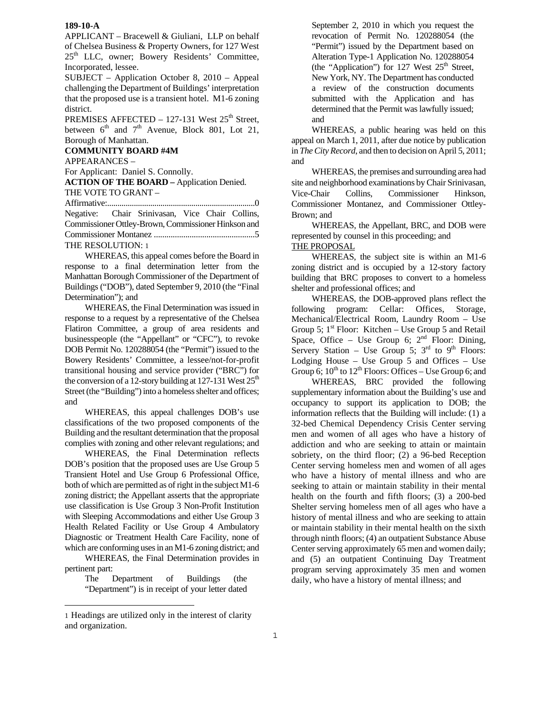APPLICANT – Bracewell & Giuliani, LLP on behalf of Chelsea Business & Property Owners, for 127 West 25<sup>th</sup> LLC, owner; Bowery Residents' Committee, Incorporated, lessee.

SUBJECT – Application October 8, 2010 – Appeal challenging the Department of Buildings' interpretation that the proposed use is a transient hotel. M1-6 zoning district.

PREMISES AFFECTED – 127-131 West  $25<sup>th</sup>$  Street, between  $6<sup>th</sup>$  and  $7<sup>th</sup>$  Avenue, Block 801, Lot 21, Borough of Manhattan.

**COMMUNITY BOARD #4M**  APPEARANCES –

For Applicant: Daniel S. Connolly.

**ACTION OF THE BOARD –** Application Denied. THE VOTE TO GRANT –

Affirmative:........................................................................0

Negative: Chair Srinivasan, Vice Chair Collins, Commissioner Ottley-Brown, Commissioner Hinkson and Commissioner Montanez ................................................5 THE RESOLUTION: 1

WHEREAS, this appeal comes before the Board in response to a final determination letter from the Manhattan Borough Commissioner of the Department of Buildings ("DOB"), dated September 9, 2010 (the "Final Determination"); and

WHEREAS, the Final Determination was issued in response to a request by a representative of the Chelsea Flatiron Committee, a group of area residents and businesspeople (the "Appellant" or "CFC"), to revoke DOB Permit No. 120288054 (the "Permit") issued to the Bowery Residents' Committee, a lessee/not-for-profit transitional housing and service provider ("BRC") for the conversion of a 12-story building at 127-131 West  $25<sup>th</sup>$ Street (the "Building") into a homeless shelter and offices; and

WHEREAS, this appeal challenges DOB's use classifications of the two proposed components of the Building and the resultant determination that the proposal complies with zoning and other relevant regulations; and

WHEREAS, the Final Determination reflects DOB's position that the proposed uses are Use Group 5 Transient Hotel and Use Group 6 Professional Office, both of which are permitted as of right in the subject M1-6 zoning district; the Appellant asserts that the appropriate use classification is Use Group 3 Non-Profit Institution with Sleeping Accommodations and either Use Group 3 Health Related Facility or Use Group 4 Ambulatory Diagnostic or Treatment Health Care Facility, none of which are conforming uses in an M1-6 zoning district; and

WHEREAS, the Final Determination provides in pertinent part:

> The Department of Buildings (the "Department") is in receipt of your letter dated

and WHEREAS, a public hearing was held on this appeal on March 1, 2011, after due notice by publication in *The City Record*, and then to decision on April 5, 2011; and WHEREAS, the premises and surrounding area had

site and neighborhood examinations by Chair Srinivasan, Vice-Chair Collins, Commissioner Hinkson, Commissioner Montanez, and Commissioner Ottley-Brown; and

September 2, 2010 in which you request the revocation of Permit No. 120288054 (the "Permit") issued by the Department based on Alteration Type-1 Application No. 120288054 (the "Application") for 127 West  $25<sup>th</sup>$  Street, New York, NY. The Department has conducted a review of the construction documents submitted with the Application and has determined that the Permit was lawfully issued;

WHEREAS, the Appellant, BRC, and DOB were represented by counsel in this proceeding; and

THE PROPOSAL

WHEREAS, the subject site is within an M1-6 zoning district and is occupied by a 12-story factory building that BRC proposes to convert to a homeless shelter and professional offices; and

WHEREAS, the DOB-approved plans reflect the following program: Cellar: Offices, Storage, Mechanical/Electrical Room, Laundry Room – Use Group 5;  $1^{st}$  Floor: Kitchen – Use Group 5 and Retail Space, Office – Use Group 6;  $2<sup>nd</sup>$  Floor: Dining, Servery Station – Use Group 5;  $3<sup>rd</sup>$  to 9<sup>th</sup> Floors: Lodging House – Use Group  $5$  and Offices – Use Group 6;  $10^{th}$  to  $12^{th}$  Floors: Offices – Use Group 6; and

WHEREAS, BRC provided the following supplementary information about the Building's use and occupancy to support its application to DOB; the information reflects that the Building will include: (1) a 32-bed Chemical Dependency Crisis Center serving men and women of all ages who have a history of addiction and who are seeking to attain or maintain sobriety, on the third floor; (2) a 96-bed Reception Center serving homeless men and women of all ages who have a history of mental illness and who are seeking to attain or maintain stability in their mental health on the fourth and fifth floors; (3) a 200-bed Shelter serving homeless men of all ages who have a history of mental illness and who are seeking to attain or maintain stability in their mental health on the sixth through ninth floors; (4) an outpatient Substance Abuse Center serving approximately 65 men and women daily; and (5) an outpatient Continuing Day Treatment program serving approximately 35 men and women daily, who have a history of mental illness; and

i<br>L

<sup>1</sup> Headings are utilized only in the interest of clarity and organization.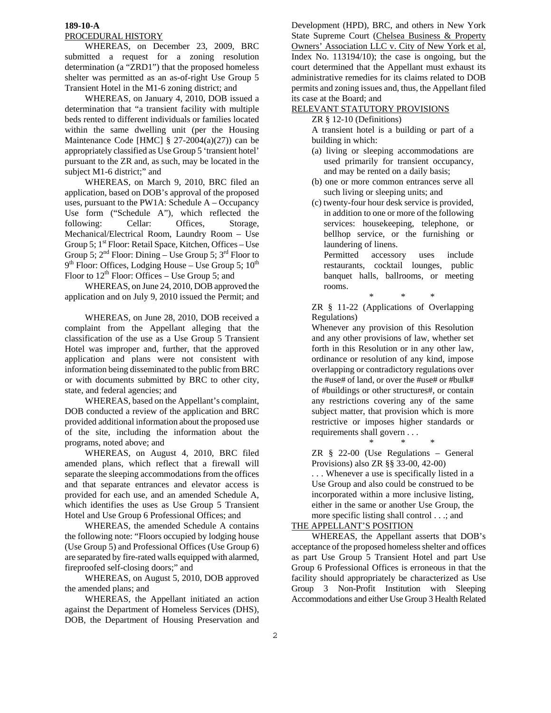## PROCEDURAL HISTORY

WHEREAS, on December 23, 2009, BRC submitted a request for a zoning resolution determination (a "ZRD1") that the proposed homeless shelter was permitted as an as-of-right Use Group 5 Transient Hotel in the M1-6 zoning district; and

WHEREAS, on January 4, 2010, DOB issued a determination that "a transient facility with multiple beds rented to different individuals or families located within the same dwelling unit (per the Housing Maintenance Code [HMC]  $\S$  27-2004(a)(27)) can be appropriately classified as Use Group 5 'transient hotel' pursuant to the ZR and, as such, may be located in the subject M1-6 district;" and

WHEREAS, on March 9, 2010, BRC filed an application, based on DOB's approval of the proposed uses, pursuant to the PW1A: Schedule A – Occupancy Use form ("Schedule A"), which reflected the following: Cellar: Offices, Storage, Mechanical/Electrical Room, Laundry Room – Use Group 5;  $1<sup>st</sup>$  Floor: Retail Space, Kitchen, Offices – Use Group 5;  $2^{nd}$  Floor: Dining – Use Group 5;  $3^{rd}$  Floor to  $9<sup>th</sup>$  Floor: Offices, Lodging House – Use Group 5;  $10<sup>th</sup>$ Floor to  $12^{th}$  Floor: Offices – Use Group 5; and

WHEREAS, on June 24, 2010, DOB approved the application and on July 9, 2010 issued the Permit; and

WHEREAS, on June 28, 2010, DOB received a complaint from the Appellant alleging that the classification of the use as a Use Group 5 Transient Hotel was improper and, further, that the approved application and plans were not consistent with information being disseminated to the public from BRC or with documents submitted by BRC to other city, state, and federal agencies; and

WHEREAS, based on the Appellant's complaint, DOB conducted a review of the application and BRC provided additional information about the proposed use of the site, including the information about the programs, noted above; and

WHEREAS, on August 4, 2010, BRC filed amended plans, which reflect that a firewall will separate the sleeping accommodations from the offices and that separate entrances and elevator access is provided for each use, and an amended Schedule A, which identifies the uses as Use Group 5 Transient Hotel and Use Group 6 Professional Offices; and

WHEREAS, the amended Schedule A contains the following note: "Floors occupied by lodging house (Use Group 5) and Professional Offices (Use Group 6) are separated by fire-rated walls equipped with alarmed, fireproofed self-closing doors;" and

WHEREAS, on August 5, 2010, DOB approved the amended plans; and

WHEREAS, the Appellant initiated an action against the Department of Homeless Services (DHS), DOB, the Department of Housing Preservation and Development (HPD), BRC, and others in New York State Supreme Court (Chelsea Business & Property Owners' Association LLC v. City of New York et al, Index No. 113194/10); the case is ongoing, but the court determined that the Appellant must exhaust its administrative remedies for its claims related to DOB permits and zoning issues and, thus, the Appellant filed its case at the Board; and

# RELEVANT STATUTORY PROVISIONS

## ZR § 12-10 (Definitions)

A transient hotel is a building or part of a building in which:

- (a) living or sleeping accommodations are used primarily for transient occupancy, and may be rented on a daily basis;
- (b) one or more common entrances serve all such living or sleeping units; and
- (c) twenty-four hour desk service is provided, in addition to one or more of the following services: housekeeping, telephone, or bellhop service, or the furnishing or laundering of linens.

Permitted accessory uses include restaurants, cocktail lounges, public banquet halls, ballrooms, or meeting rooms.

\* \* \*

ZR § 11-22 (Applications of Overlapping Regulations)

Whenever any provision of this Resolution and any other provisions of law, whether set forth in this Resolution or in any other law, ordinance or resolution of any kind, impose overlapping or contradictory regulations over the #use# of land, or over the #use# or #bulk# of #buildings or other structures#, or contain any restrictions covering any of the same subject matter, that provision which is more restrictive or imposes higher standards or requirements shall govern . . .

\* \* \*

ZR § 22-00 (Use Regulations – General Provisions) also ZR §§ 33-00, 42-00)

. . . Whenever a use is specifically listed in a Use Group and also could be construed to be incorporated within a more inclusive listing, either in the same or another Use Group, the more specific listing shall control . . .; and

# THE APPELLANT'S POSITION

WHEREAS, the Appellant asserts that DOB's acceptance of the proposed homeless shelter and offices as part Use Group 5 Transient Hotel and part Use Group 6 Professional Offices is erroneous in that the facility should appropriately be characterized as Use Group 3 Non-Profit Institution with Sleeping Accommodations and either Use Group 3 Health Related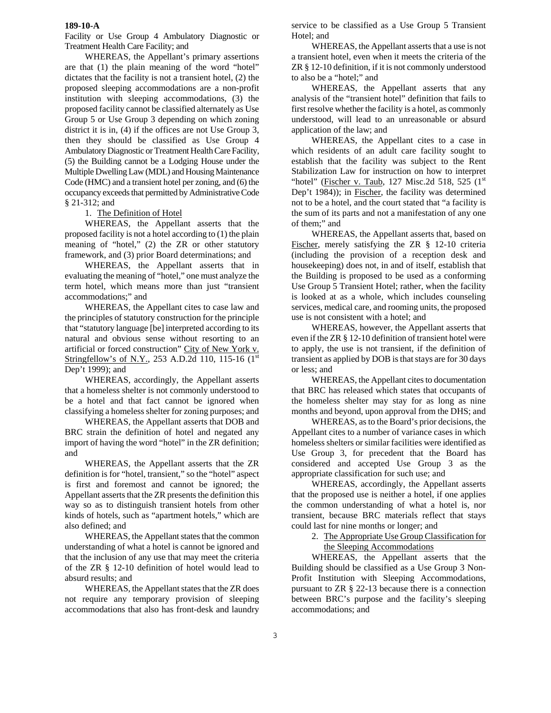Facility or Use Group 4 Ambulatory Diagnostic or Treatment Health Care Facility; and

WHEREAS, the Appellant's primary assertions are that (1) the plain meaning of the word "hotel" dictates that the facility is not a transient hotel, (2) the proposed sleeping accommodations are a non-profit institution with sleeping accommodations, (3) the proposed facility cannot be classified alternately as Use Group 5 or Use Group 3 depending on which zoning district it is in, (4) if the offices are not Use Group 3, then they should be classified as Use Group 4 Ambulatory Diagnostic or Treatment Health Care Facility, (5) the Building cannot be a Lodging House under the Multiple Dwelling Law (MDL) and Housing Maintenance Code (HMC) and a transient hotel per zoning, and (6) the occupancy exceeds that permitted by Administrative Code § 21-312; and

## 1. The Definition of Hotel

WHEREAS, the Appellant asserts that the proposed facility is not a hotel according to (1) the plain meaning of "hotel," (2) the ZR or other statutory framework, and (3) prior Board determinations; and

WHEREAS, the Appellant asserts that in evaluating the meaning of "hotel," one must analyze the term hotel, which means more than just "transient accommodations;" and

WHEREAS, the Appellant cites to case law and the principles of statutory construction for the principle that "statutory language [be] interpreted according to its natural and obvious sense without resorting to an artificial or forced construction" City of New York v. Stringfellow's of N.Y., 253 A.D.2d 110, 115-16 (1<sup>st</sup>) Dep't 1999); and

WHEREAS, accordingly, the Appellant asserts that a homeless shelter is not commonly understood to be a hotel and that fact cannot be ignored when classifying a homeless shelter for zoning purposes; and

WHEREAS, the Appellant asserts that DOB and BRC strain the definition of hotel and negated any import of having the word "hotel" in the ZR definition; and

WHEREAS, the Appellant asserts that the ZR definition is for "hotel, transient," so the "hotel" aspect is first and foremost and cannot be ignored; the Appellant asserts that the ZR presents the definition this way so as to distinguish transient hotels from other kinds of hotels, such as "apartment hotels," which are also defined; and

WHEREAS, the Appellant states that the common understanding of what a hotel is cannot be ignored and that the inclusion of any use that may meet the criteria of the ZR § 12-10 definition of hotel would lead to absurd results; and

WHEREAS, the Appellant states that the ZR does not require any temporary provision of sleeping accommodations that also has front-desk and laundry

service to be classified as a Use Group 5 Transient Hotel; and

WHEREAS, the Appellant asserts that a use is not a transient hotel, even when it meets the criteria of the ZR § 12-10 definition, if it is not commonly understood to also be a "hotel;" and

WHEREAS, the Appellant asserts that any analysis of the "transient hotel" definition that fails to first resolve whether the facility is a hotel, as commonly understood, will lead to an unreasonable or absurd application of the law; and

WHEREAS, the Appellant cites to a case in which residents of an adult care facility sought to establish that the facility was subject to the Rent Stabilization Law for instruction on how to interpret "hotel" (Fischer v. Taub, 127 Misc.2d 518, 525  $(1<sup>st</sup>$ Dep't 1984)); in Fischer, the facility was determined not to be a hotel, and the court stated that "a facility is the sum of its parts and not a manifestation of any one of them;" and

WHEREAS, the Appellant asserts that, based on Fischer, merely satisfying the ZR § 12-10 criteria (including the provision of a reception desk and housekeeping) does not, in and of itself, establish that the Building is proposed to be used as a conforming Use Group 5 Transient Hotel; rather, when the facility is looked at as a whole, which includes counseling services, medical care, and rooming units, the proposed use is not consistent with a hotel; and

WHEREAS, however, the Appellant asserts that even if the ZR § 12-10 definition of transient hotel were to apply, the use is not transient, if the definition of transient as applied by DOB is that stays are for 30 days or less; and

WHEREAS, the Appellant cites to documentation that BRC has released which states that occupants of the homeless shelter may stay for as long as nine months and beyond, upon approval from the DHS; and

WHEREAS, as to the Board's prior decisions, the Appellant cites to a number of variance cases in which homeless shelters or similar facilities were identified as Use Group 3, for precedent that the Board has considered and accepted Use Group 3 as the appropriate classification for such use; and

WHEREAS, accordingly, the Appellant asserts that the proposed use is neither a hotel, if one applies the common understanding of what a hotel is, nor transient, because BRC materials reflect that stays could last for nine months or longer; and

> 2. The Appropriate Use Group Classification for the Sleeping Accommodations

WHEREAS, the Appellant asserts that the Building should be classified as a Use Group 3 Non-Profit Institution with Sleeping Accommodations, pursuant to ZR § 22-13 because there is a connection between BRC's purpose and the facility's sleeping accommodations; and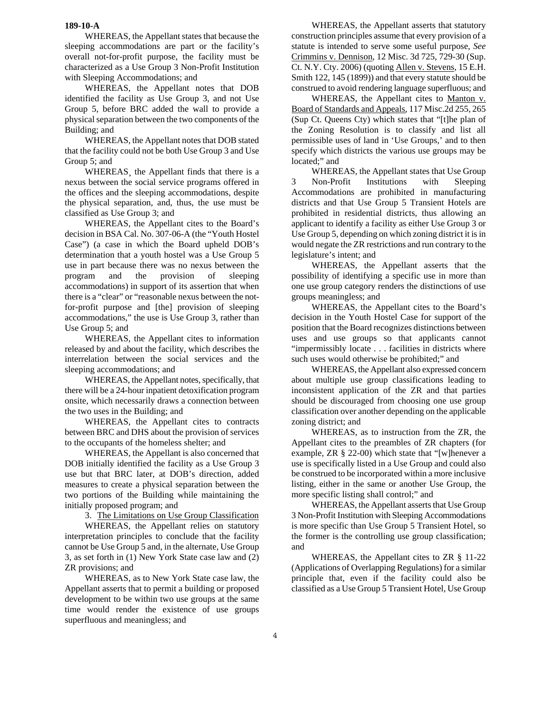WHEREAS, the Appellant states that because the sleeping accommodations are part or the facility's overall not-for-profit purpose, the facility must be characterized as a Use Group 3 Non-Profit Institution with Sleeping Accommodations; and

WHEREAS, the Appellant notes that DOB identified the facility as Use Group 3, and not Use Group 5, before BRC added the wall to provide a physical separation between the two components of the Building; and

WHEREAS, the Appellant notes that DOB stated that the facility could not be both Use Group 3 and Use Group 5; and

WHEREAS¸ the Appellant finds that there is a nexus between the social service programs offered in the offices and the sleeping accommodations, despite the physical separation, and, thus, the use must be classified as Use Group 3; and

WHEREAS, the Appellant cites to the Board's decision in BSA Cal. No. 307-06-A (the "Youth Hostel Case") (a case in which the Board upheld DOB's determination that a youth hostel was a Use Group 5 use in part because there was no nexus between the program and the provision of sleeping accommodations) in support of its assertion that when there is a "clear" or "reasonable nexus between the notfor-profit purpose and [the] provision of sleeping accommodations," the use is Use Group 3, rather than Use Group 5; and

WHEREAS, the Appellant cites to information released by and about the facility, which describes the interrelation between the social services and the sleeping accommodations; and

WHEREAS, the Appellant notes, specifically, that there will be a 24-hour inpatient detoxification program onsite, which necessarily draws a connection between the two uses in the Building; and

WHEREAS, the Appellant cites to contracts between BRC and DHS about the provision of services to the occupants of the homeless shelter; and

WHEREAS, the Appellant is also concerned that DOB initially identified the facility as a Use Group 3 use but that BRC later, at DOB's direction, added measures to create a physical separation between the two portions of the Building while maintaining the initially proposed program; and

3. The Limitations on Use Group Classification

WHEREAS, the Appellant relies on statutory interpretation principles to conclude that the facility cannot be Use Group 5 and, in the alternate, Use Group 3, as set forth in (1) New York State case law and (2) ZR provisions; and

WHEREAS, as to New York State case law, the Appellant asserts that to permit a building or proposed development to be within two use groups at the same time would render the existence of use groups superfluous and meaningless; and

WHEREAS, the Appellant asserts that statutory construction principles assume that every provision of a statute is intended to serve some useful purpose, *See* Crimmins v. Dennison, 12 Misc. 3d 725, 729-30 (Sup. Ct. N.Y. Cty. 2006) (quoting Allen v. Stevens, 15 E.H. Smith 122, 145 (1899)) and that every statute should be construed to avoid rendering language superfluous; and

WHEREAS, the Appellant cites to Manton v. Board of Standards and Appeals, 117 Misc.2d 255, 265 (Sup Ct. Queens Cty) which states that "[t]he plan of the Zoning Resolution is to classify and list all permissible uses of land in 'Use Groups,' and to then specify which districts the various use groups may be located;" and

WHEREAS, the Appellant states that Use Group 3 Non-Profit Institutions with Sleeping Accommodations are prohibited in manufacturing districts and that Use Group 5 Transient Hotels are prohibited in residential districts, thus allowing an applicant to identify a facility as either Use Group 3 or Use Group 5, depending on which zoning district it is in would negate the ZR restrictions and run contrary to the legislature's intent; and

WHEREAS, the Appellant asserts that the possibility of identifying a specific use in more than one use group category renders the distinctions of use groups meaningless; and

WHEREAS, the Appellant cites to the Board's decision in the Youth Hostel Case for support of the position that the Board recognizes distinctions between uses and use groups so that applicants cannot "impermissibly locate . . . facilities in districts where such uses would otherwise be prohibited;" and

WHEREAS, the Appellant also expressed concern about multiple use group classifications leading to inconsistent application of the ZR and that parties should be discouraged from choosing one use group classification over another depending on the applicable zoning district; and

WHEREAS, as to instruction from the ZR, the Appellant cites to the preambles of ZR chapters (for example, ZR § 22-00) which state that "[w]henever a use is specifically listed in a Use Group and could also be construed to be incorporated within a more inclusive listing, either in the same or another Use Group, the more specific listing shall control;" and

WHEREAS, the Appellant asserts that Use Group 3 Non-Profit Institution with Sleeping Accommodations is more specific than Use Group 5 Transient Hotel, so the former is the controlling use group classification; and

WHEREAS, the Appellant cites to ZR § 11-22 (Applications of Overlapping Regulations) for a similar principle that, even if the facility could also be classified as a Use Group 5 Transient Hotel, Use Group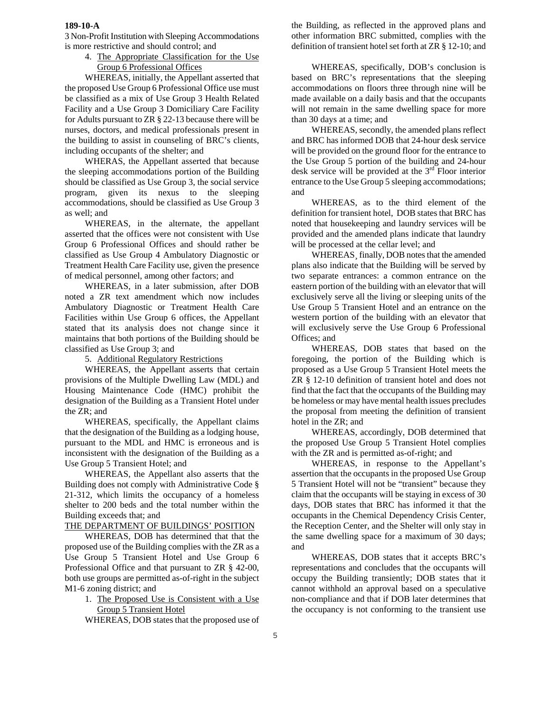3 Non-Profit Institution with Sleeping Accommodations is more restrictive and should control; and

> 4. The Appropriate Classification for the Use Group 6 Professional Offices

WHEREAS, initially, the Appellant asserted that the proposed Use Group 6 Professional Office use must be classified as a mix of Use Group 3 Health Related Facility and a Use Group 3 Domiciliary Care Facility for Adults pursuant to ZR § 22-13 because there will be nurses, doctors, and medical professionals present in the building to assist in counseling of BRC's clients, including occupants of the shelter; and

WHERAS, the Appellant asserted that because the sleeping accommodations portion of the Building should be classified as Use Group 3, the social service program, given its nexus to the sleeping accommodations, should be classified as Use Group 3 as well; and

WHEREAS, in the alternate, the appellant asserted that the offices were not consistent with Use Group 6 Professional Offices and should rather be classified as Use Group 4 Ambulatory Diagnostic or Treatment Health Care Facility use, given the presence of medical personnel, among other factors; and

WHEREAS, in a later submission, after DOB noted a ZR text amendment which now includes Ambulatory Diagnostic or Treatment Health Care Facilities within Use Group 6 offices, the Appellant stated that its analysis does not change since it maintains that both portions of the Building should be classified as Use Group 3; and

5. Additional Regulatory Restrictions

WHEREAS, the Appellant asserts that certain provisions of the Multiple Dwelling Law (MDL) and Housing Maintenance Code (HMC) prohibit the designation of the Building as a Transient Hotel under the ZR; and

WHEREAS, specifically, the Appellant claims that the designation of the Building as a lodging house, pursuant to the MDL and HMC is erroneous and is inconsistent with the designation of the Building as a Use Group 5 Transient Hotel; and

WHEREAS, the Appellant also asserts that the Building does not comply with Administrative Code § 21-312, which limits the occupancy of a homeless shelter to 200 beds and the total number within the Building exceeds that; and

## THE DEPARTMENT OF BUILDINGS' POSITION

WHEREAS, DOB has determined that that the proposed use of the Building complies with the ZR as a Use Group 5 Transient Hotel and Use Group 6 Professional Office and that pursuant to ZR § 42-00, both use groups are permitted as-of-right in the subject M1-6 zoning district; and

> 1. The Proposed Use is Consistent with a Use Group 5 Transient Hotel

> WHEREAS, DOB states that the proposed use of

the Building, as reflected in the approved plans and other information BRC submitted, complies with the definition of transient hotel set forth at ZR § 12-10; and

WHEREAS, specifically, DOB's conclusion is based on BRC's representations that the sleeping accommodations on floors three through nine will be made available on a daily basis and that the occupants will not remain in the same dwelling space for more than 30 days at a time; and

WHEREAS, secondly, the amended plans reflect and BRC has informed DOB that 24-hour desk service will be provided on the ground floor for the entrance to the Use Group 5 portion of the building and 24-hour desk service will be provided at the  $3<sup>rd</sup>$  Floor interior entrance to the Use Group 5 sleeping accommodations; and

WHEREAS, as to the third element of the definition for transient hotel, DOB states that BRC has noted that housekeeping and laundry services will be provided and the amended plans indicate that laundry will be processed at the cellar level; and

WHEREAS¸ finally, DOB notes that the amended plans also indicate that the Building will be served by two separate entrances: a common entrance on the eastern portion of the building with an elevator that will exclusively serve all the living or sleeping units of the Use Group 5 Transient Hotel and an entrance on the western portion of the building with an elevator that will exclusively serve the Use Group 6 Professional Offices; and

WHEREAS, DOB states that based on the foregoing, the portion of the Building which is proposed as a Use Group 5 Transient Hotel meets the ZR § 12-10 definition of transient hotel and does not find that the fact that the occupants of the Building may be homeless or may have mental health issues precludes the proposal from meeting the definition of transient hotel in the ZR; and

WHEREAS, accordingly, DOB determined that the proposed Use Group 5 Transient Hotel complies with the ZR and is permitted as-of-right; and

WHEREAS, in response to the Appellant's assertion that the occupants in the proposed Use Group 5 Transient Hotel will not be "transient" because they claim that the occupants will be staying in excess of 30 days, DOB states that BRC has informed it that the occupants in the Chemical Dependency Crisis Center, the Reception Center, and the Shelter will only stay in the same dwelling space for a maximum of 30 days; and

WHEREAS, DOB states that it accepts BRC's representations and concludes that the occupants will occupy the Building transiently; DOB states that it cannot withhold an approval based on a speculative non-compliance and that if DOB later determines that the occupancy is not conforming to the transient use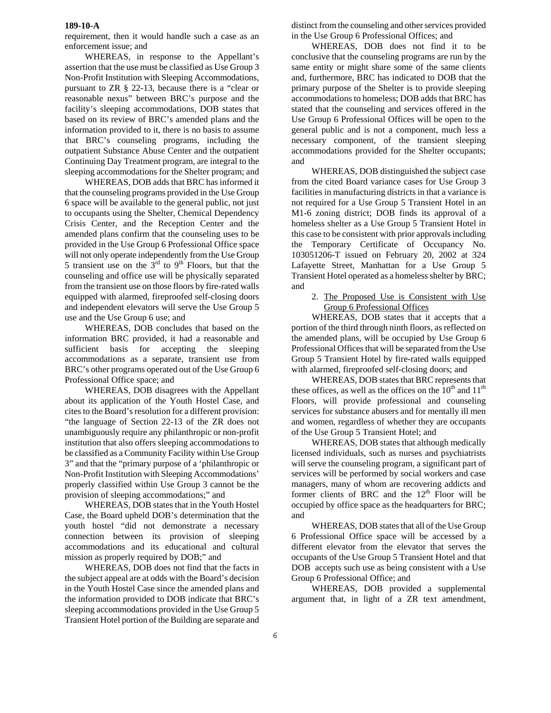requirement, then it would handle such a case as an enforcement issue; and

WHEREAS, in response to the Appellant's assertion that the use must be classified as Use Group 3 Non-Profit Institution with Sleeping Accommodations, pursuant to ZR § 22-13, because there is a "clear or reasonable nexus" between BRC's purpose and the facility's sleeping accommodations, DOB states that based on its review of BRC's amended plans and the information provided to it, there is no basis to assume that BRC's counseling programs, including the outpatient Substance Abuse Center and the outpatient Continuing Day Treatment program, are integral to the sleeping accommodations for the Shelter program; and

WHEREAS, DOB adds that BRC has informed it that the counseling programs provided in the Use Group 6 space will be available to the general public, not just to occupants using the Shelter, Chemical Dependency Crisis Center, and the Reception Center and the amended plans confirm that the counseling uses to be provided in the Use Group 6 Professional Office space will not only operate independently from the Use Group 5 transient use on the  $3<sup>rd</sup>$  to  $9<sup>th</sup>$  Floors, but that the counseling and office use will be physically separated from the transient use on those floors by fire-rated walls equipped with alarmed, fireproofed self-closing doors and independent elevators will serve the Use Group 5 use and the Use Group 6 use; and

WHEREAS, DOB concludes that based on the information BRC provided, it had a reasonable and sufficient basis for accepting the sleeping accommodations as a separate, transient use from BRC's other programs operated out of the Use Group 6 Professional Office space; and

WHEREAS, DOB disagrees with the Appellant about its application of the Youth Hostel Case, and cites to the Board's resolution for a different provision: "the language of Section 22-13 of the ZR does not unambiguously require any philanthropic or non-profit institution that also offers sleeping accommodations to be classified as a Community Facility within Use Group 3" and that the "primary purpose of a 'philanthropic or Non-Profit Institution with Sleeping Accommodations' properly classified within Use Group 3 cannot be the provision of sleeping accommodations;" and

WHEREAS, DOB states that in the Youth Hostel Case, the Board upheld DOB's determination that the youth hostel "did not demonstrate a necessary connection between its provision of sleeping accommodations and its educational and cultural mission as properly required by DOB;" and

WHEREAS, DOB does not find that the facts in the subject appeal are at odds with the Board's decision in the Youth Hostel Case since the amended plans and the information provided to DOB indicate that BRC's sleeping accommodations provided in the Use Group 5 Transient Hotel portion of the Building are separate and

distinct from the counseling and other services provided in the Use Group 6 Professional Offices; and

WHEREAS, DOB does not find it to be conclusive that the counseling programs are run by the same entity or might share some of the same clients and, furthermore, BRC has indicated to DOB that the primary purpose of the Shelter is to provide sleeping accommodations to homeless; DOB adds that BRC has stated that the counseling and services offered in the Use Group 6 Professional Offices will be open to the general public and is not a component, much less a necessary component, of the transient sleeping accommodations provided for the Shelter occupants; and

WHEREAS, DOB distinguished the subject case from the cited Board variance cases for Use Group 3 facilities in manufacturing districts in that a variance is not required for a Use Group 5 Transient Hotel in an M1-6 zoning district; DOB finds its approval of a homeless shelter as a Use Group 5 Transient Hotel in this case to be consistent with prior approvals including the Temporary Certificate of Occupancy No. 103051206-T issued on February 20, 2002 at 324 Lafayette Street, Manhattan for a Use Group 5 Transient Hotel operated as a homeless shelter by BRC; and

> 2. The Proposed Use is Consistent with Use Group 6 Professional Offices

WHEREAS, DOB states that it accepts that a portion of the third through ninth floors, as reflected on the amended plans, will be occupied by Use Group 6 Professional Offices that will be separated from the Use Group 5 Transient Hotel by fire-rated walls equipped with alarmed, fireproofed self-closing doors; and

WHEREAS, DOB states that BRC represents that these offices, as well as the offices on the  $10<sup>th</sup>$  and  $11<sup>th</sup>$ Floors, will provide professional and counseling services for substance abusers and for mentally ill men and women, regardless of whether they are occupants of the Use Group 5 Transient Hotel; and

WHEREAS, DOB states that although medically licensed individuals, such as nurses and psychiatrists will serve the counseling program, a significant part of services will be performed by social workers and case managers, many of whom are recovering addicts and former clients of BRC and the  $12<sup>th</sup>$  Floor will be occupied by office space as the headquarters for BRC; and

WHEREAS, DOB states that all of the Use Group 6 Professional Office space will be accessed by a different elevator from the elevator that serves the occupants of the Use Group 5 Transient Hotel and that DOB accepts such use as being consistent with a Use Group 6 Professional Office; and

WHEREAS, DOB provided a supplemental argument that, in light of a ZR text amendment,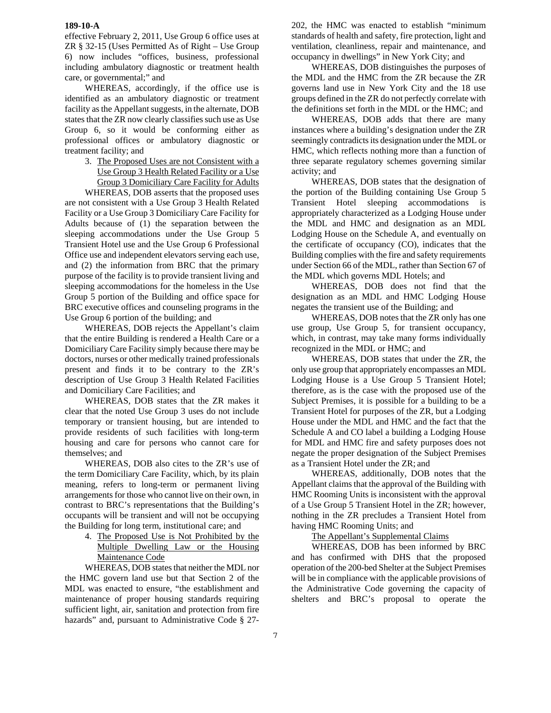effective February 2, 2011, Use Group 6 office uses at ZR § 32-15 (Uses Permitted As of Right – Use Group 6) now includes "offices, business, professional including ambulatory diagnostic or treatment health care, or governmental;" and

WHEREAS, accordingly, if the office use is identified as an ambulatory diagnostic or treatment facility as the Appellant suggests, in the alternate, DOB states that the ZR now clearly classifies such use as Use Group 6, so it would be conforming either as professional offices or ambulatory diagnostic or treatment facility; and

> 3. The Proposed Uses are not Consistent with a Use Group 3 Health Related Facility or a Use Group 3 Domiciliary Care Facility for Adults

WHEREAS, DOB asserts that the proposed uses are not consistent with a Use Group 3 Health Related Facility or a Use Group 3 Domiciliary Care Facility for Adults because of (1) the separation between the sleeping accommodations under the Use Group 5 Transient Hotel use and the Use Group 6 Professional Office use and independent elevators serving each use, and (2) the information from BRC that the primary purpose of the facility is to provide transient living and sleeping accommodations for the homeless in the Use Group 5 portion of the Building and office space for BRC executive offices and counseling programs in the Use Group 6 portion of the building; and

WHEREAS, DOB rejects the Appellant's claim that the entire Building is rendered a Health Care or a Domiciliary Care Facility simply because there may be doctors, nurses or other medically trained professionals present and finds it to be contrary to the ZR's description of Use Group 3 Health Related Facilities and Domiciliary Care Facilities; and

WHEREAS, DOB states that the ZR makes it clear that the noted Use Group 3 uses do not include temporary or transient housing, but are intended to provide residents of such facilities with long-term housing and care for persons who cannot care for themselves; and

WHEREAS, DOB also cites to the ZR's use of the term Domiciliary Care Facility, which, by its plain meaning, refers to long-term or permanent living arrangements for those who cannot live on their own, in contrast to BRC's representations that the Building's occupants will be transient and will not be occupying the Building for long term, institutional care; and

> 4. The Proposed Use is Not Prohibited by the Multiple Dwelling Law or the Housing Maintenance Code

WHEREAS, DOB states that neither the MDL nor the HMC govern land use but that Section 2 of the MDL was enacted to ensure, "the establishment and maintenance of proper housing standards requiring sufficient light, air, sanitation and protection from fire hazards" and, pursuant to Administrative Code § 27202, the HMC was enacted to establish "minimum standards of health and safety, fire protection, light and ventilation, cleanliness, repair and maintenance, and occupancy in dwellings" in New York City; and

WHEREAS, DOB distinguishes the purposes of the MDL and the HMC from the ZR because the ZR governs land use in New York City and the 18 use groups defined in the ZR do not perfectly correlate with the definitions set forth in the MDL or the HMC; and

WHEREAS, DOB adds that there are many instances where a building's designation under the ZR seemingly contradicts its designation under the MDL or HMC, which reflects nothing more than a function of three separate regulatory schemes governing similar activity; and

WHEREAS, DOB states that the designation of the portion of the Building containing Use Group 5 Transient Hotel sleeping accommodations is appropriately characterized as a Lodging House under the MDL and HMC and designation as an MDL Lodging House on the Schedule A, and eventually on the certificate of occupancy (CO), indicates that the Building complies with the fire and safety requirements under Section 66 of the MDL, rather than Section 67 of the MDL which governs MDL Hotels; and

WHEREAS, DOB does not find that the designation as an MDL and HMC Lodging House negates the transient use of the Building; and

WHEREAS, DOB notes that the ZR only has one use group, Use Group 5, for transient occupancy, which, in contrast, may take many forms individually recognized in the MDL or HMC; and

WHEREAS, DOB states that under the ZR, the only use group that appropriately encompasses an MDL Lodging House is a Use Group 5 Transient Hotel; therefore, as is the case with the proposed use of the Subject Premises, it is possible for a building to be a Transient Hotel for purposes of the ZR, but a Lodging House under the MDL and HMC and the fact that the Schedule A and CO label a building a Lodging House for MDL and HMC fire and safety purposes does not negate the proper designation of the Subject Premises as a Transient Hotel under the ZR; and

WHEREAS, additionally, DOB notes that the Appellant claims that the approval of the Building with HMC Rooming Units is inconsistent with the approval of a Use Group 5 Transient Hotel in the ZR; however, nothing in the ZR precludes a Transient Hotel from having HMC Rooming Units; and

The Appellant's Supplemental Claims

WHEREAS, DOB has been informed by BRC and has confirmed with DHS that the proposed operation of the 200-bed Shelter at the Subject Premises will be in compliance with the applicable provisions of the Administrative Code governing the capacity of shelters and BRC's proposal to operate the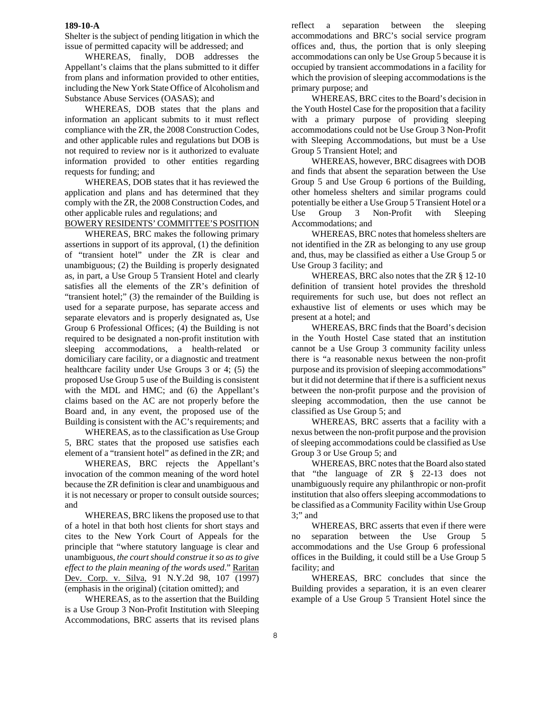Shelter is the subject of pending litigation in which the issue of permitted capacity will be addressed; and

WHEREAS, finally, DOB addresses the Appellant's claims that the plans submitted to it differ from plans and information provided to other entities, including the New York State Office of Alcoholism and Substance Abuse Services (OASAS); and

WHEREAS, DOB states that the plans and information an applicant submits to it must reflect compliance with the ZR, the 2008 Construction Codes, and other applicable rules and regulations but DOB is not required to review nor is it authorized to evaluate information provided to other entities regarding requests for funding; and

WHEREAS, DOB states that it has reviewed the application and plans and has determined that they comply with the ZR, the 2008 Construction Codes, and other applicable rules and regulations; and

BOWERY RESIDENTS' COMMITTEE'S POSITION

WHEREAS, BRC makes the following primary assertions in support of its approval, (1) the definition of "transient hotel" under the ZR is clear and unambiguous; (2) the Building is properly designated as, in part, a Use Group 5 Transient Hotel and clearly satisfies all the elements of the ZR's definition of "transient hotel;" (3) the remainder of the Building is used for a separate purpose, has separate access and separate elevators and is properly designated as, Use Group 6 Professional Offices; (4) the Building is not required to be designated a non-profit institution with sleeping accommodations, a health-related or domiciliary care facility, or a diagnostic and treatment healthcare facility under Use Groups 3 or 4; (5) the proposed Use Group 5 use of the Building is consistent with the MDL and HMC; and (6) the Appellant's claims based on the AC are not properly before the Board and, in any event, the proposed use of the Building is consistent with the AC's requirements; and

WHEREAS, as to the classification as Use Group 5, BRC states that the proposed use satisfies each element of a "transient hotel" as defined in the ZR; and

WHEREAS, BRC rejects the Appellant's invocation of the common meaning of the word hotel because the ZR definition is clear and unambiguous and it is not necessary or proper to consult outside sources; and

WHEREAS, BRC likens the proposed use to that of a hotel in that both host clients for short stays and cites to the New York Court of Appeals for the principle that "where statutory language is clear and unambiguous, *the court should construe it so as to give effect to the plain meaning of the words used*." Raritan Dev. Corp. v. Silva, 91 N.Y.2d 98, 107 (1997) (emphasis in the original) (citation omitted); and

WHEREAS, as to the assertion that the Building is a Use Group 3 Non-Profit Institution with Sleeping Accommodations, BRC asserts that its revised plans

reflect a separation between the sleeping accommodations and BRC's social service program offices and, thus, the portion that is only sleeping accommodations can only be Use Group 5 because it is occupied by transient accommodations in a facility for which the provision of sleeping accommodations is the primary purpose; and

WHEREAS, BRC cites to the Board's decision in the Youth Hostel Case for the proposition that a facility with a primary purpose of providing sleeping accommodations could not be Use Group 3 Non-Profit with Sleeping Accommodations, but must be a Use Group 5 Transient Hotel; and

WHEREAS, however, BRC disagrees with DOB and finds that absent the separation between the Use Group 5 and Use Group 6 portions of the Building, other homeless shelters and similar programs could potentially be either a Use Group 5 Transient Hotel or a Use Group 3 Non-Profit with Sleeping Accommodations; and

WHEREAS, BRC notes that homeless shelters are not identified in the ZR as belonging to any use group and, thus, may be classified as either a Use Group 5 or Use Group 3 facility; and

WHEREAS, BRC also notes that the ZR § 12-10 definition of transient hotel provides the threshold requirements for such use, but does not reflect an exhaustive list of elements or uses which may be present at a hotel; and

WHEREAS, BRC finds that the Board's decision in the Youth Hostel Case stated that an institution cannot be a Use Group 3 community facility unless there is "a reasonable nexus between the non-profit purpose and its provision of sleeping accommodations" but it did not determine that if there is a sufficient nexus between the non-profit purpose and the provision of sleeping accommodation, then the use cannot be classified as Use Group 5; and

WHEREAS, BRC asserts that a facility with a nexus between the non-profit purpose and the provision of sleeping accommodations could be classified as Use Group 3 or Use Group 5; and

WHEREAS, BRC notes that the Board also stated that "the language of ZR § 22-13 does not unambiguously require any philanthropic or non-profit institution that also offers sleeping accommodations to be classified as a Community Facility within Use Group  $3$ ;" and

WHEREAS, BRC asserts that even if there were no separation between the Use Group 5 accommodations and the Use Group 6 professional offices in the Building, it could still be a Use Group 5 facility; and

WHEREAS, BRC concludes that since the Building provides a separation, it is an even clearer example of a Use Group 5 Transient Hotel since the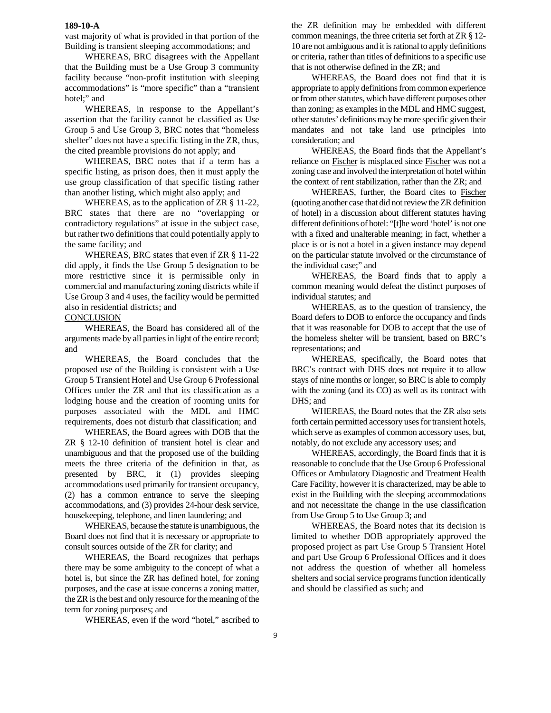vast majority of what is provided in that portion of the Building is transient sleeping accommodations; and

WHEREAS, BRC disagrees with the Appellant that the Building must be a Use Group 3 community facility because "non-profit institution with sleeping accommodations" is "more specific" than a "transient hotel;" and

WHEREAS, in response to the Appellant's assertion that the facility cannot be classified as Use Group 5 and Use Group 3, BRC notes that "homeless shelter" does not have a specific listing in the ZR, thus, the cited preamble provisions do not apply; and

WHEREAS, BRC notes that if a term has a specific listing, as prison does, then it must apply the use group classification of that specific listing rather than another listing, which might also apply; and

WHEREAS, as to the application of ZR § 11-22, BRC states that there are no "overlapping or contradictory regulations" at issue in the subject case, but rather two definitions that could potentially apply to the same facility; and

WHEREAS, BRC states that even if ZR § 11-22 did apply, it finds the Use Group 5 designation to be more restrictive since it is permissible only in commercial and manufacturing zoning districts while if Use Group 3 and 4 uses, the facility would be permitted also in residential districts; and

## **CONCLUSION**

WHEREAS, the Board has considered all of the arguments made by all parties in light of the entire record; and

WHEREAS, the Board concludes that the proposed use of the Building is consistent with a Use Group 5 Transient Hotel and Use Group 6 Professional Offices under the ZR and that its classification as a lodging house and the creation of rooming units for purposes associated with the MDL and HMC requirements, does not disturb that classification; and

WHEREAS, the Board agrees with DOB that the ZR § 12-10 definition of transient hotel is clear and unambiguous and that the proposed use of the building meets the three criteria of the definition in that, as presented by BRC, it (1) provides sleeping accommodations used primarily for transient occupancy, (2) has a common entrance to serve the sleeping accommodations, and (3) provides 24-hour desk service, housekeeping, telephone, and linen laundering; and

WHEREAS, because the statute is unambiguous, the Board does not find that it is necessary or appropriate to consult sources outside of the ZR for clarity; and

WHEREAS, the Board recognizes that perhaps there may be some ambiguity to the concept of what a hotel is, but since the ZR has defined hotel, for zoning purposes, and the case at issue concerns a zoning matter, the ZR is the best and only resource for the meaning of the term for zoning purposes; and

WHEREAS, even if the word "hotel," ascribed to

the ZR definition may be embedded with different common meanings, the three criteria set forth at ZR § 12- 10 are not ambiguous and it is rational to apply definitions or criteria, rather than titles of definitions to a specific use that is not otherwise defined in the ZR; and

WHEREAS, the Board does not find that it is appropriate to apply definitions from common experience or from other statutes, which have different purposes other than zoning; as examples in the MDL and HMC suggest, other statutes' definitions may be more specific given their mandates and not take land use principles into consideration; and

WHEREAS, the Board finds that the Appellant's reliance on Fischer is misplaced since Fischer was not a zoning case and involved the interpretation of hotel within the context of rent stabilization, rather than the ZR; and

WHEREAS, further, the Board cites to Fischer (quoting another case that did not review the ZR definition of hotel) in a discussion about different statutes having different definitions of hotel: "[t]he word 'hotel' is not one with a fixed and unalterable meaning; in fact, whether a place is or is not a hotel in a given instance may depend on the particular statute involved or the circumstance of the individual case;" and

WHEREAS, the Board finds that to apply a common meaning would defeat the distinct purposes of individual statutes; and

WHEREAS, as to the question of transiency, the Board defers to DOB to enforce the occupancy and finds that it was reasonable for DOB to accept that the use of the homeless shelter will be transient, based on BRC's representations; and

WHEREAS, specifically, the Board notes that BRC's contract with DHS does not require it to allow stays of nine months or longer, so BRC is able to comply with the zoning (and its CO) as well as its contract with DHS; and

WHEREAS, the Board notes that the ZR also sets forth certain permitted accessory uses for transient hotels, which serve as examples of common accessory uses, but, notably, do not exclude any accessory uses; and

WHEREAS, accordingly, the Board finds that it is reasonable to conclude that the Use Group 6 Professional Offices or Ambulatory Diagnostic and Treatment Health Care Facility, however it is characterized, may be able to exist in the Building with the sleeping accommodations and not necessitate the change in the use classification from Use Group 5 to Use Group 3; and

WHEREAS, the Board notes that its decision is limited to whether DOB appropriately approved the proposed project as part Use Group 5 Transient Hotel and part Use Group 6 Professional Offices and it does not address the question of whether all homeless shelters and social service programs function identically and should be classified as such; and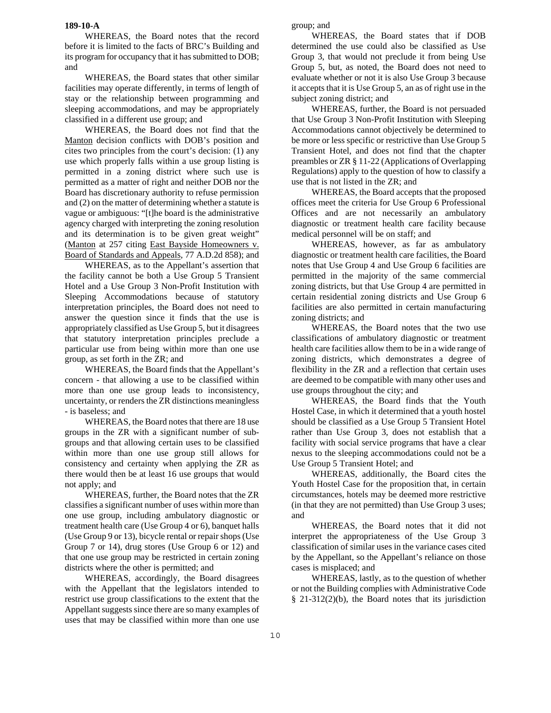WHEREAS, the Board notes that the record before it is limited to the facts of BRC's Building and its program for occupancy that it has submitted to DOB; and

WHEREAS, the Board states that other similar facilities may operate differently, in terms of length of stay or the relationship between programming and sleeping accommodations, and may be appropriately classified in a different use group; and

WHEREAS, the Board does not find that the Manton decision conflicts with DOB's position and cites two principles from the court's decision: (1) any use which properly falls within a use group listing is permitted in a zoning district where such use is permitted as a matter of right and neither DOB nor the Board has discretionary authority to refuse permission and (2) on the matter of determining whether a statute is vague or ambiguous: "[t]he board is the administrative agency charged with interpreting the zoning resolution and its determination is to be given great weight" (Manton at 257 citing East Bayside Homeowners v. Board of Standards and Appeals, 77 A.D.2d 858); and

WHEREAS, as to the Appellant's assertion that the facility cannot be both a Use Group 5 Transient Hotel and a Use Group 3 Non-Profit Institution with Sleeping Accommodations because of statutory interpretation principles, the Board does not need to answer the question since it finds that the use is appropriately classified as Use Group 5, but it disagrees that statutory interpretation principles preclude a particular use from being within more than one use group, as set forth in the ZR; and

WHEREAS, the Board finds that the Appellant's concern - that allowing a use to be classified within more than one use group leads to inconsistency, uncertainty, or renders the ZR distinctions meaningless - is baseless; and

WHEREAS, the Board notes that there are 18 use groups in the ZR with a significant number of subgroups and that allowing certain uses to be classified within more than one use group still allows for consistency and certainty when applying the ZR as there would then be at least 16 use groups that would not apply; and

WHEREAS, further, the Board notes that the ZR classifies a significant number of uses within more than one use group, including ambulatory diagnostic or treatment health care (Use Group 4 or 6), banquet halls (Use Group 9 or 13), bicycle rental or repair shops (Use Group 7 or 14), drug stores (Use Group 6 or 12) and that one use group may be restricted in certain zoning districts where the other is permitted; and

WHEREAS, accordingly, the Board disagrees with the Appellant that the legislators intended to restrict use group classifications to the extent that the Appellant suggests since there are so many examples of uses that may be classified within more than one use

group; and

WHEREAS, the Board states that if DOB determined the use could also be classified as Use Group 3, that would not preclude it from being Use Group 5, but, as noted, the Board does not need to evaluate whether or not it is also Use Group 3 because it accepts that it is Use Group 5, an as of right use in the subject zoning district; and

WHEREAS, further, the Board is not persuaded that Use Group 3 Non-Profit Institution with Sleeping Accommodations cannot objectively be determined to be more or less specific or restrictive than Use Group 5 Transient Hotel, and does not find that the chapter preambles or ZR § 11-22 (Applications of Overlapping Regulations) apply to the question of how to classify a use that is not listed in the ZR; and

WHEREAS, the Board accepts that the proposed offices meet the criteria for Use Group 6 Professional Offices and are not necessarily an ambulatory diagnostic or treatment health care facility because medical personnel will be on staff; and

WHEREAS, however, as far as ambulatory diagnostic or treatment health care facilities, the Board notes that Use Group 4 and Use Group 6 facilities are permitted in the majority of the same commercial zoning districts, but that Use Group 4 are permitted in certain residential zoning districts and Use Group 6 facilities are also permitted in certain manufacturing zoning districts; and

WHEREAS, the Board notes that the two use classifications of ambulatory diagnostic or treatment health care facilities allow them to be in a wide range of zoning districts, which demonstrates a degree of flexibility in the ZR and a reflection that certain uses are deemed to be compatible with many other uses and use groups throughout the city; and

WHEREAS, the Board finds that the Youth Hostel Case, in which it determined that a youth hostel should be classified as a Use Group 5 Transient Hotel rather than Use Group 3, does not establish that a facility with social service programs that have a clear nexus to the sleeping accommodations could not be a Use Group 5 Transient Hotel; and

WHEREAS, additionally, the Board cites the Youth Hostel Case for the proposition that, in certain circumstances, hotels may be deemed more restrictive (in that they are not permitted) than Use Group 3 uses; and

WHEREAS, the Board notes that it did not interpret the appropriateness of the Use Group 3 classification of similar uses in the variance cases cited by the Appellant, so the Appellant's reliance on those cases is misplaced; and

WHEREAS, lastly, as to the question of whether or not the Building complies with Administrative Code § 21-312(2)(b), the Board notes that its jurisdiction